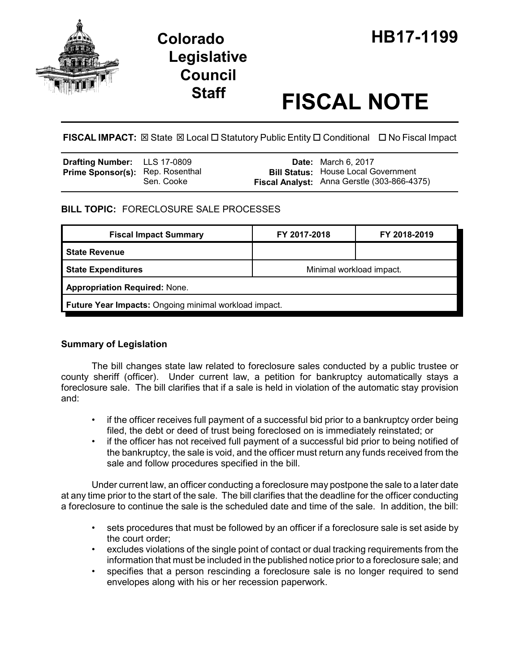

# **Legislative Council**

# **Staff FISCAL NOTE**

FISCAL IMPACT:  $\boxtimes$  State  $\boxtimes$  Local  $\Box$  Statutory Public Entity  $\Box$  Conditional  $\Box$  No Fiscal Impact

| Drafting Number: LLS 17-0809            |            | <b>Date:</b> March 6, 2017                                                                |
|-----------------------------------------|------------|-------------------------------------------------------------------------------------------|
| <b>Prime Sponsor(s):</b> Rep. Rosenthal | Sen. Cooke | <b>Bill Status: House Local Government</b><br>Fiscal Analyst: Anna Gerstle (303-866-4375) |

## **BILL TOPIC:** FORECLOSURE SALE PROCESSES

| <b>Fiscal Impact Summary</b>                          | FY 2017-2018             | FY 2018-2019 |  |  |  |
|-------------------------------------------------------|--------------------------|--------------|--|--|--|
| <b>State Revenue</b>                                  |                          |              |  |  |  |
| <b>State Expenditures</b>                             | Minimal workload impact. |              |  |  |  |
| <b>Appropriation Required: None.</b>                  |                          |              |  |  |  |
| Future Year Impacts: Ongoing minimal workload impact. |                          |              |  |  |  |

### **Summary of Legislation**

The bill changes state law related to foreclosure sales conducted by a public trustee or county sheriff (officer). Under current law, a petition for bankruptcy automatically stays a foreclosure sale. The bill clarifies that if a sale is held in violation of the automatic stay provision and:

- if the officer receives full payment of a successful bid prior to a bankruptcy order being filed, the debt or deed of trust being foreclosed on is immediately reinstated; or
- if the officer has not received full payment of a successful bid prior to being notified of the bankruptcy, the sale is void, and the officer must return any funds received from the sale and follow procedures specified in the bill.

Under current law, an officer conducting a foreclosure may postpone the sale to a later date at any time prior to the start of the sale. The bill clarifies that the deadline for the officer conducting a foreclosure to continue the sale is the scheduled date and time of the sale. In addition, the bill:

- sets procedures that must be followed by an officer if a foreclosure sale is set aside by the court order;
- excludes violations of the single point of contact or dual tracking requirements from the information that must be included in the published notice prior to a foreclosure sale; and
- specifies that a person rescinding a foreclosure sale is no longer required to send envelopes along with his or her recession paperwork.